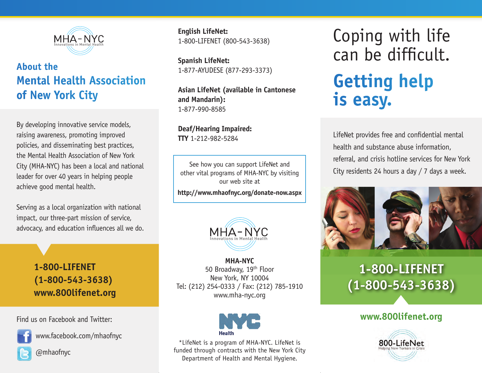

## **About the Mental Health Association of New York City**

By developing innovative service models, raising awareness, promoting improved policies, and disseminating best practices, the Mental Health Association of New York City (MHA-NYC) has been a local and national leader for over 40 years in helping people achieve good mental health.

Serving as a local organization with national impact, our three-part mission of service, advocacy, and education influences all we do.

> **1-800-LIFENET (1-800-543-3638) www.800lifenet.org**

Find us on Facebook and Twitter:



www.facebook.com/mhaofnyc

@mhaofnyc

**English LifeNet:** 1-800-LIFENET (800-543-3638)

**Spanish LifeNet:** 1-877-AYUDESE (877-293-3373)

**Asian LifeNet (available in Cantonese and Mandarin):** 1-877-990-8585

**Deaf/Hearing Impaired: TTY** 1-212-982-5284

See how you can support LifeNet and other vital programs of MHA-NYC by visiting our web site at

**http://www.mhaofnyc.org/donate-now.aspx** 



**MHA-NYC** 50 Broadway, 19th Floor New York, NY 10004 Tel: (212) 254-0333 / Fax: (212) 785-1910 www.mha-nyc.org



\*LifeNet is a program of MHA-NYC. LifeNet is funded through contracts with the New York City Department of Health and Mental Hygiene.

Coping with life can be difficult. **Getting help is easy.**

LifeNet provides free and confidential mental health and substance abuse information, referral, and crisis hotline services for New York City residents 24 hours a day / 7 days a week.



# **1-800-LIFENET (1-800-543-3638)**

#### **www.800lifenet.org**